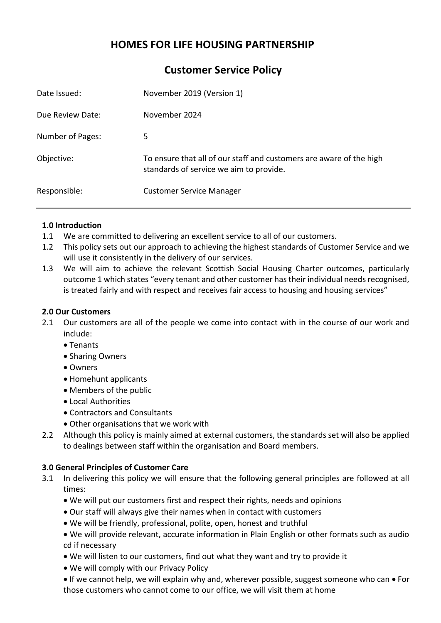# **HOMES FOR LIFE HOUSING PARTNERSHIP**

**Customer Service Policy**

| Date Issued:     | November 2019 (Version 1)                                                                                      |
|------------------|----------------------------------------------------------------------------------------------------------------|
| Due Review Date: | November 2024                                                                                                  |
| Number of Pages: | 5.                                                                                                             |
| Objective:       | To ensure that all of our staff and customers are aware of the high<br>standards of service we aim to provide. |
| Responsible:     | <b>Customer Service Manager</b>                                                                                |

# **1.0 Introduction**

- 1.1 We are committed to delivering an excellent service to all of our customers.
- 1.2 This policy sets out our approach to achieving the highest standards of Customer Service and we will use it consistently in the delivery of our services.
- 1.3 We will aim to achieve the relevant Scottish Social Housing Charter outcomes, particularly outcome 1 which states "every tenant and other customer has their individual needs recognised, is treated fairly and with respect and receives fair access to housing and housing services"

# **2.0 Our Customers**

- 2.1 Our customers are all of the people we come into contact with in the course of our work and include:
	- Tenants
	- Sharing Owners
	- Owners
	- Homehunt applicants
	- Members of the public
	- Local Authorities
	- Contractors and Consultants
	- Other organisations that we work with
- 2.2 Although this policy is mainly aimed at external customers, the standards set will also be applied to dealings between staff within the organisation and Board members.

# **3.0 General Principles of Customer Care**

- 3.1 In delivering this policy we will ensure that the following general principles are followed at all times:
	- We will put our customers first and respect their rights, needs and opinions
	- Our staff will always give their names when in contact with customers
	- We will be friendly, professional, polite, open, honest and truthful
	- We will provide relevant, accurate information in Plain English or other formats such as audio cd if necessary
	- We will listen to our customers, find out what they want and try to provide it
	- We will comply with our Privacy Policy
	- If we cannot help, we will explain why and, wherever possible, suggest someone who can For those customers who cannot come to our office, we will visit them at home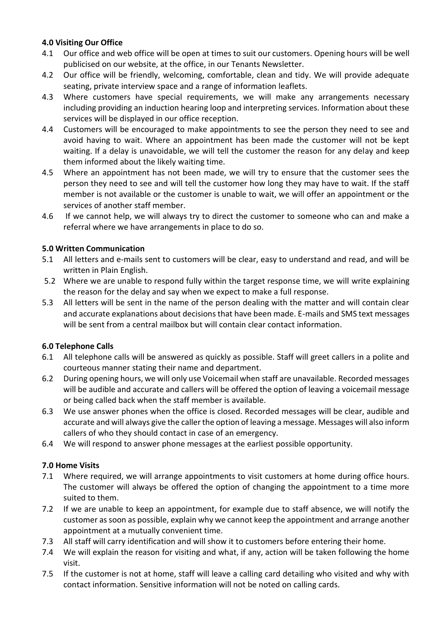# **4.0 Visiting Our Office**

- 4.1 Our office and web office will be open at times to suit our customers. Opening hours will be well publicised on our website, at the office, in our Tenants Newsletter.
- 4.2 Our office will be friendly, welcoming, comfortable, clean and tidy. We will provide adequate seating, private interview space and a range of information leaflets.
- 4.3 Where customers have special requirements, we will make any arrangements necessary including providing an induction hearing loop and interpreting services. Information about these services will be displayed in our office reception.
- 4.4 Customers will be encouraged to make appointments to see the person they need to see and avoid having to wait. Where an appointment has been made the customer will not be kept waiting. If a delay is unavoidable, we will tell the customer the reason for any delay and keep them informed about the likely waiting time.
- 4.5 Where an appointment has not been made, we will try to ensure that the customer sees the person they need to see and will tell the customer how long they may have to wait. If the staff member is not available or the customer is unable to wait, we will offer an appointment or the services of another staff member.
- 4.6 If we cannot help, we will always try to direct the customer to someone who can and make a referral where we have arrangements in place to do so.

#### **5.0 Written Communication**

- 5.1 All letters and e-mails sent to customers will be clear, easy to understand and read, and will be written in Plain English.
- 5.2 Where we are unable to respond fully within the target response time, we will write explaining the reason for the delay and say when we expect to make a full response.
- 5.3 All letters will be sent in the name of the person dealing with the matter and will contain clear and accurate explanations about decisions that have been made. E-mails and SMS text messages will be sent from a central mailbox but will contain clear contact information.

# **6.0 Telephone Calls**

- 6.1 All telephone calls will be answered as quickly as possible. Staff will greet callers in a polite and courteous manner stating their name and department.
- 6.2 During opening hours, we will only use Voicemail when staff are unavailable. Recorded messages will be audible and accurate and callers will be offered the option of leaving a voicemail message or being called back when the staff member is available.
- 6.3 We use answer phones when the office is closed. Recorded messages will be clear, audible and accurate and will always give the caller the option of leaving a message. Messages will also inform callers of who they should contact in case of an emergency.
- 6.4 We will respond to answer phone messages at the earliest possible opportunity.

# **7.0 Home Visits**

- 7.1 Where required, we will arrange appointments to visit customers at home during office hours. The customer will always be offered the option of changing the appointment to a time more suited to them.
- 7.2 If we are unable to keep an appointment, for example due to staff absence, we will notify the customer as soon as possible, explain why we cannot keep the appointment and arrange another appointment at a mutually convenient time.
- 7.3 All staff will carry identification and will show it to customers before entering their home.
- 7.4 We will explain the reason for visiting and what, if any, action will be taken following the home visit.
- 7.5 If the customer is not at home, staff will leave a calling card detailing who visited and why with contact information. Sensitive information will not be noted on calling cards.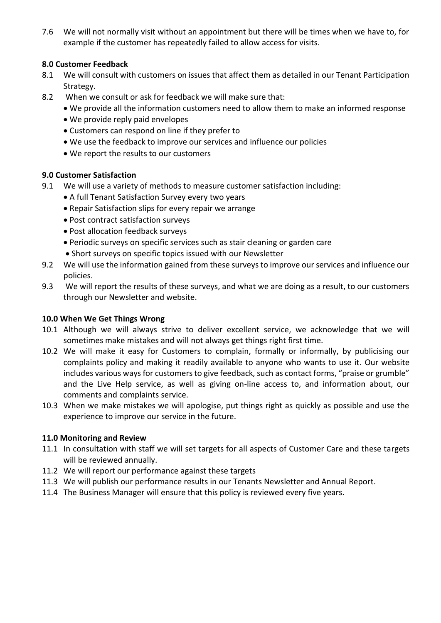7.6 We will not normally visit without an appointment but there will be times when we have to, for example if the customer has repeatedly failed to allow access for visits.

# **8.0 Customer Feedback**

- 8.1 We will consult with customers on issues that affect them as detailed in our Tenant Participation Strategy.
- 8.2 When we consult or ask for feedback we will make sure that:
	- We provide all the information customers need to allow them to make an informed response
	- We provide reply paid envelopes
	- Customers can respond on line if they prefer to
	- We use the feedback to improve our services and influence our policies
	- We report the results to our customers

# **9.0 Customer Satisfaction**

- 9.1 We will use a variety of methods to measure customer satisfaction including:
	- A full Tenant Satisfaction Survey every two years
	- Repair Satisfaction slips for every repair we arrange
	- Post contract satisfaction surveys
	- Post allocation feedback surveys
	- Periodic surveys on specific services such as stair cleaning or garden care
	- Short surveys on specific topics issued with our Newsletter
- 9.2 We will use the information gained from these surveys to improve our services and influence our policies.
- 9.3 We will report the results of these surveys, and what we are doing as a result, to our customers through our Newsletter and website.

# **10.0 When We Get Things Wrong**

- 10.1 Although we will always strive to deliver excellent service, we acknowledge that we will sometimes make mistakes and will not always get things right first time.
- 10.2 We will make it easy for Customers to complain, formally or informally, by publicising our complaints policy and making it readily available to anyone who wants to use it. Our website includes various ways for customers to give feedback, such as contact forms, "praise or grumble" and the Live Help service, as well as giving on-line access to, and information about, our comments and complaints service.
- 10.3 When we make mistakes we will apologise, put things right as quickly as possible and use the experience to improve our service in the future.

# **11.0 Monitoring and Review**

- 11.1 In consultation with staff we will set targets for all aspects of Customer Care and these targets will be reviewed annually.
- 11.2 We will report our performance against these targets
- 11.3 We will publish our performance results in our Tenants Newsletter and Annual Report.
- 11.4 The Business Manager will ensure that this policy is reviewed every five years.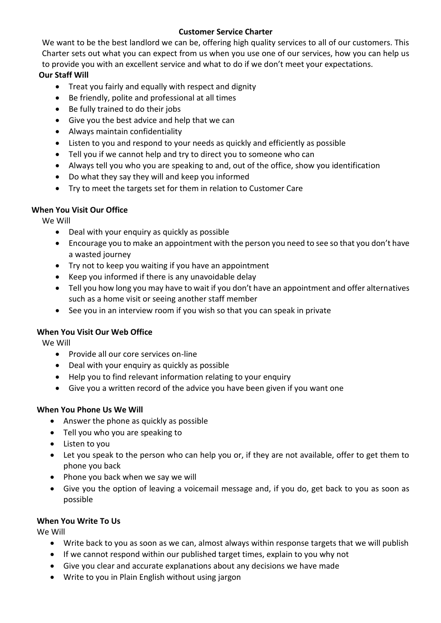# **Customer Service Charter**

We want to be the best landlord we can be, offering high quality services to all of our customers. This Charter sets out what you can expect from us when you use one of our services, how you can help us to provide you with an excellent service and what to do if we don't meet your expectations.

# **Our Staff Will**

- Treat you fairly and equally with respect and dignity
- Be friendly, polite and professional at all times
- Be fully trained to do their jobs
- Give you the best advice and help that we can
- Always maintain confidentiality
- Listen to you and respond to your needs as quickly and efficiently as possible
- Tell you if we cannot help and try to direct you to someone who can
- Always tell you who you are speaking to and, out of the office, show you identification
- Do what they say they will and keep you informed
- Try to meet the targets set for them in relation to Customer Care

# **When You Visit Our Office**

We Will

- Deal with your enquiry as quickly as possible
- Encourage you to make an appointment with the person you need to see so that you don't have a wasted journey
- Try not to keep you waiting if you have an appointment
- Keep you informed if there is any unavoidable delay
- Tell you how long you may have to wait if you don't have an appointment and offer alternatives such as a home visit or seeing another staff member
- See you in an interview room if you wish so that you can speak in private

# **When You Visit Our Web Office**

We Will

- Provide all our core services on-line
- Deal with your enquiry as quickly as possible
- Help you to find relevant information relating to your enquiry
- Give you a written record of the advice you have been given if you want one

# **When You Phone Us We Will**

- Answer the phone as quickly as possible
- Tell you who you are speaking to
- Listen to you
- Let you speak to the person who can help you or, if they are not available, offer to get them to phone you back
- Phone you back when we say we will
- Give you the option of leaving a voicemail message and, if you do, get back to you as soon as possible

# **When You Write To Us**

We Will

- Write back to you as soon as we can, almost always within response targets that we will publish
- If we cannot respond within our published target times, explain to you why not
- Give you clear and accurate explanations about any decisions we have made
- Write to you in Plain English without using jargon